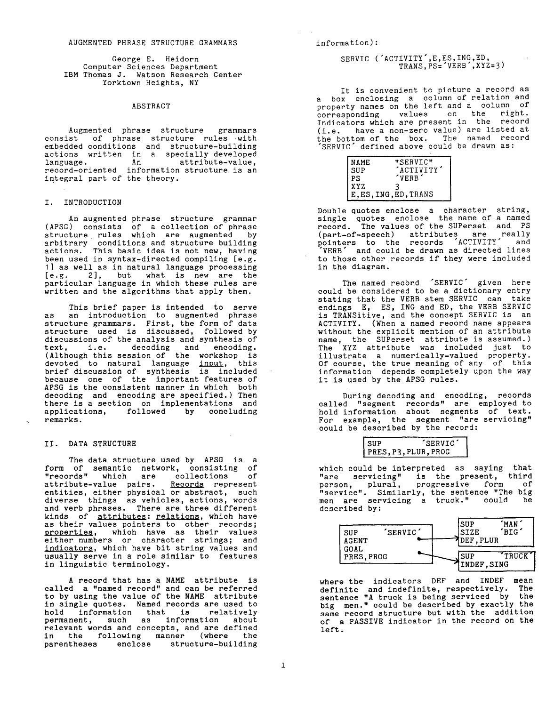George E. Heidorn Computer Sciences Department IBM Thomas J. Watson Research Center Yorktown Heights, NY

### ABSTRACT

Augmented phrase structure grammars consist of phrase structure rules with embedded conditions and structure-building actions written in a specially developed language. An attribute-value, record-oriented information structure is an integral part of the theory.

# I. INTRODUCTION

An augmented phrase structure grammar (APSG) consists of a collection of phrase structure rules which are augmented by arbitrary conditions and structure building actions. This basic idea is not new, having been used in syntax-directed compiling [e.g. I] as well as in natural language processing [e.g. 2], but what is new are the particular language in which these rules are written and the algorithms that apply them.

This brief paper is intended to serve as an introduction to augmented phrase structure grammars. First, the form of data structure used is discussed, followed by discussions of the analysis and synthesis of text, i.e. decoding and encoding. (Although this session of the workshop is devoted to natural language <u>input</u>, this brief discussion of synthesis is included because one of the important features of APSG is the consistent manner in which both decoding and encoding are specified.) Then there is a section on implementations and applications, followed by concluding remarks.

### II. DATA STRUCTURE

The data structure used by APSG is a form of semantic network, consisting of "records" which are collections of attribute-value pairs. <u>Records</u> represent entities, either physical or abstract, such diverse things as vehicles, actions, words and verb phrases. There are three different kinds of attributes: relations, which have as their values pointers to other records; properties, which have as their values either numbers or character strings; and indicators, which have bit string values and usually serve in a role similar to features in linguistic terminology.

A record that has a NAME attribute is called a "named record" and can be referred to by using the value of the NAME attribute in single quotes. Named records are used to hold information that is relatively permanent, such as information about relevant words and concepts, and are defined in the following manner (where the parentheses enclose structure-building

### SERVIC ('ACTIVITY',E,ES,ING,ED, TRANS,PS='VERB',XYZ=3)

It is convenient to picture a record as a box enclosing a column of relation and property names on the left and a column of corresponding values on the right. Indicators which are present in the record (i.e. have a non-zero value) are listed at the bottom of the box. The named record SERVIC' defined above could be drawn as:

| NAME | "SERVIC"              |
|------|-----------------------|
| SUP  | 'ACTIVITY'            |
| PS   | 'VERB'                |
| XYZ  |                       |
|      | E, ES, ING, ED, TRANS |

Double quotes enclose a character string, single quotes enclose the name of a named record. The values of the SUPerset and PS (part-of-speech) attributes are really pointers to the records "ACTIVITY" and VERB' and could be drawn as directed lines to those other records if they were included in the diagram.

The named record 'SERVIC' given here could be considered to be a dictionary entry stating that the VERB stem SERVIC can take endings E, ES, ING and ED, the VERB SERVIC is TRANSitive, and the concept SERVIC is an ACTIVITY. (When a named record name appears without the explicit mention of an attribute name, the SUPerset attribute is assumed.) The XYZ attribute was included just to illustrate a numerically-valued property. Of course, the true meaning of any of this information depends completely upon the way it is used by the APSG rules.

During decoding and encoding, records called "segment records" are employed to hold information about segments of text. For example, the segment "are servicing" could be described by the record:

| SUP | 'SERVIC'             |
|-----|----------------------|
|     | PRES, P3, PLUR, PROG |
|     |                      |

which could be interpreted as saying that "are servicing" is the present, third person, plural, progressive form of "service". Similarly, the sentence "The big men are servicing a truck." could be described by:



where the indicators DEF and INDEF mean definite and indefinite, respectively. The sentence "A truck is being serviced by the big men." could be described by exactly the same record structure but with the addition of a PASSIVE indicator in the record on the left.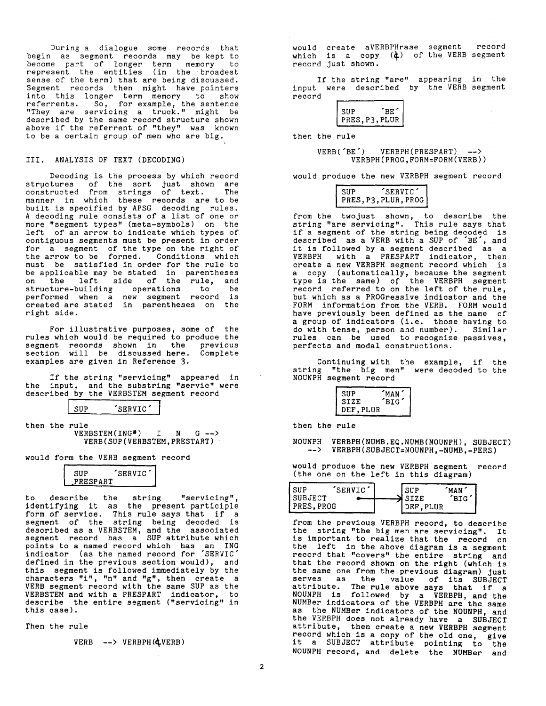During a dialogue some records that begin as segment records may be kept to become part of longer term memory to represent the entities (in the broadest sense of the term) that are being discussed. Segment records then might have pointers into this longer term memory to show referrents. So, for example, the sentence "They are servicing a truck." might be described by the same record structure shown above if the referrent of "they" was known to be a certain group of men who are big.

## III. ANALYSIS OF TEXT (DECODING)

Decoding is the process by which record structures of the sort just shown are constructed from strings of text. The manner in which these records are to be built is specified by APSG decoding rules. A decoding rule consists of a list of one or more "segment types" (meta-symbols) on the left of an arrow to indicate which types of contiguous segments must be present in order for a segment of the type on the right of the arrow to be formed. Conditions which must be satisfied in order for the rule to be applicable may be stated in parentheses on the left side of the rule, and structure-building operations to be performed when a new segment record is created are stated in parentheses on the right side.

For illustrative purposes, some of the rules which would be required to produce the segment records shown in the previous section will be discussed here. Complete examples are given in Reference 3.

If the string "servicing" appeared in the input, and the substring "servic" were described by the VERBSTEM segment record

SUP 'SERVIC'

then the rule<br>VERBSTEM(ING<sup>\*</sup>) VERBSTEM(ING\*) **I N G** --> VERB(SUP(VERBSTEM,PRESTART)

would form the VERB segment record

| SUP      | SERVIC |
|----------|--------|
| PRESPART |        |

to describe the string "servicing", identifying it as the present participle form of service. This rule says that if a segment of the string being decoded is described as a VERBSTEM, and the associated segment record has a SUP attribute which points to a named record which has an ING indicator (as the named record for "SERVIC" defined in the previous section would), and this segment is followed immediately by the characters "i", "n" and "g", then create a VERB segment record with the same SUP as the VERBSTEM and with a PRESPART indicator, to describe the entire segment ("servicing" in this case).

Then the rule

 $VERB$  -->  $VERBPH$  ( $QVERB$ )

would create aVERBPHrase segment record which is a copy (4) of the VERB segment record just shown.

If the string "are" appearing in the input were described by the VERB segment record

| <b>SUP</b> | BE.          |
|------------|--------------|
|            | PRES.P3.PLUR |
|            |              |

then the rule

VERB('BE') VERBPH(PRESPART) --> VERBPH(PROG,FORM=FORM(VERB))

would produce the new VERBPH segment record

| SUP | 'SERVIC'             |  |
|-----|----------------------|--|
|     | PRES, P3, PLUR, PROG |  |
|     |                      |  |

from the twojust shown, to describe the string "are servicing". This rule says that if a segment of the string being decoded is described as a VERB with a SUP of "BE', and it is followed by a segment described as a VERBPH with a PRESPART indicator, then create a new VERBPH segment record which is a copy (automatically, because the segment type is the same) of the VERBPH segment record referred to on the left of the rule, but which as a PROGressive indicator and the FORM information from the VERB. FORM would have previously been defined as the name of a group of indicators (i.e. those having to do with tense, person and number). Similar rules can be used to recognize passives, perfects and modal constructions.

Continuing with the example, if the string "the big men" were decoded to the NOUNPH segment record



then the rule

**NOUNPH VERBPH(NUMB.EQ.NUMB(NOUNPH), SUBJECT) --> VERBPH(SUBJECT=NOUNPH,-NUMB,-PERS)** 

would produce the new VERBPH segment record (the one on the left in this diagram)

| l sup     | SERVIC <sup>'</sup> |             | MAN)       |
|-----------|---------------------|-------------|------------|
| SUBJECT   |                     | <b>SIZE</b> | <b>BIG</b> |
| PRES.PROG |                     | DEF.PLUR    |            |

from the previous VERBPH record, to describe the string "the big men are servicing". It is important to realize that the record on the left in the above diagram is a segment record that "covers" the entire string and that the record shown on the right (which is the same one from the previous diagram) Just serves as the value of its SUBJECT attribute. The rule above says that if a NOUNPH is followed by a VERBPH, and the NUMBer indicators of the VERBPH are the same as the NUMBer indicators of the NOUNPH, and the VERBPH does not already have a SUBJECT attribute, then create a new VERBPH segment record which is a copy of the old one, give it a SUBJECT attribute pointing to the NOUNPH record, and delete the NUMBer and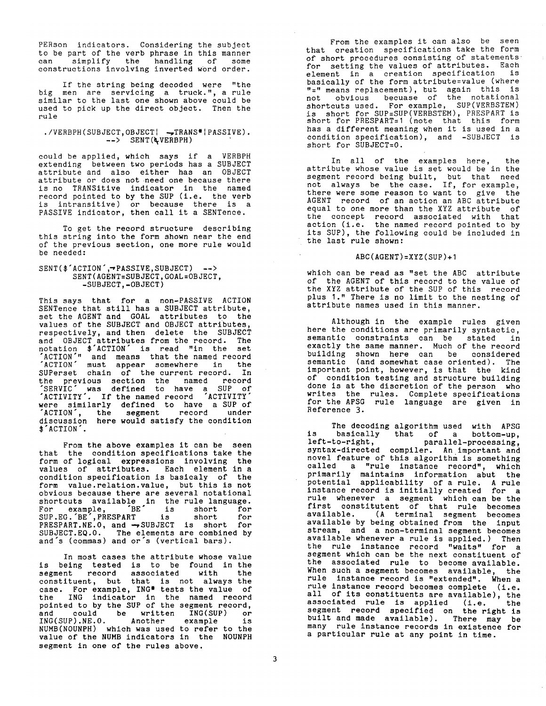PERson indicators. Considering the subject to be part of the verb phrase in this manner can simplify the handling of some constructions involving inverted word order.

If the string being decoded were "the big men are servicing a truck.", a rule similar to the last one shown above could be used to pick up the direct object. Then the rule

## ./VERBPH(SUBJECT, OBJECT| -TRANS\*|PASSIVE).  $--$ > SENT ( $\angle$ VERBPH)

could be applied, which says if a VERBPH extending between two periods has a SUBJECT attribute and also either has an OBJECT attribute or does not need one because there is no TRANSitive indicator in the named record pointed to by the SUP (i.e. the verb is intransitive) or because there is a PASSIVE indicator, then call it a SENTence.

To get the record structure describing this string into the form shown near the end of the previous section, one more rule would be needed:

## SENT(\$'ACTION',~PASSIVE,SUBJECT) --> SENT(AGENT=SUBJECT,GOAL=OBJECT, -SUBJECT,-OBJECT)

This says that for a non-PASSIVE ACTION SENTence that still has a SUBJECT attribute, set the AGENT and GOAL attributes to the values of the SUBJECT and OBJECT attributes, respectively, and then delete the SUBJECT and OBJECT attributes from the record. The notation \$'ACTION" is read "in the set ACTION'" and means that the named record "ACTION" must appear somewhere in the SUPerset chain of the current record. In the previous section the named record "SERVIC" was defined to have a SUP of "ACTIVITY'. If the named record "ACTIVITY" were similarly defined to have a SUP of "ACTION', the segment record under discussion here would satisfy the condition \$'ACTION'.

From the above examples it can be seen that the condition specifications take the form of logical expressions involving the values of attributes. Each element in a condition specification is basicaly of the form value.relation.value, but this is not obvious because there are several notational shortcuts available in the rule language. For example, "BE" is short for SUP.EG.'BE',PRESPART is short for PRESPART.NE.0, and -~SUBJECT is short for **SUBJECT.EQ.0.** The elements are combined by and's (commas) and or's (vertical bars).

In most cases the attribute whose value is being tested is to be found in the segment record associated with the constituent, but that is not always the case. For example, ING\* tests the value of the ING indicator in the named record pointed to by the SUP of the segment record, and could be written ING(SUP) or ING(SUP).NE.0. Another example is NUMB(NOUNPH) which was used to refer to the value of the NUMB indicators in the NOUNPH segment in one of the rules above.

From the examples it can also be seen that creation specifications take the form of short procedures consisting of statements for setting the values of attributes. Each element in a creation specification is basically of the form attribute=value (where "=" means replacement), but again this is not obvious becuase of the notational shortcuts used. For example, SUP(VERBSTEM) is short for SUP=SUP(VERBSTEM), PRESPART is short for PRESPART=1 (note) that this form has a different meaning when it is used in a condition specification), and -SUBJECT is short for SUBJECT=0.

In all of the examples here, the attribute whose value is set would be in the segment record being built, but that need not always be the case. If, for example, there were some reason to want to give the AGENT record of an action an ABC attribute equal to one more than the XYZ attribute of the concept record associated with that action (i.e. the named record pointed to by its SUP), the following could be included in the last rule shown:

## ABC(AGENT)=XYZ(SUP)+I

which can be read as "set the ABC attribute of the AGENT of this record to the value of the XYZ attribute of the SUP of this record plus I." There is no limit to the nesting of attribute names used in this manner.

Although in the example rules given here the conditions are primarily syntactic, semantic constraints can be stated in exactly the same manner. Much of the record building shown here can be considered semantic (and somewhat case oriented). The important point, however, is that the kind of condition testing and structure building done is at the discretion of the person who writes the rules. Complete specifications for the APSG rule language are given in Reference 3.

The decoding algorithm used with APSG is basically that of a bottom-up, left-to-right, parallel-processing, syntax-directed compiler. An important and novel feature of this algorithm is something called a "rule instance record", which primarily maintains information abut the potential applicability of a rule. A rule instance record is initially created for a rule whenever a segment which can be the first constitutent of that rule becomes available. (A terminal segment becomes available by being obtained from the input stream, and a non-terminal segment becomes available whenever a rule is applied.) Then the rule instance record "waits" for a segment which can be the next constituent of the associated rule to become available. When such a segment becomes available, the rule instance record is "extended". When a rule instance record becomes complete (i.e. all of its constituents are available), the associated rule is applied (i.e. the segment record specified on the right is built and made available). There may be many rule instance records in existence for a particular rule at any point in time.

 $\mathcal{L}^{\text{max}}$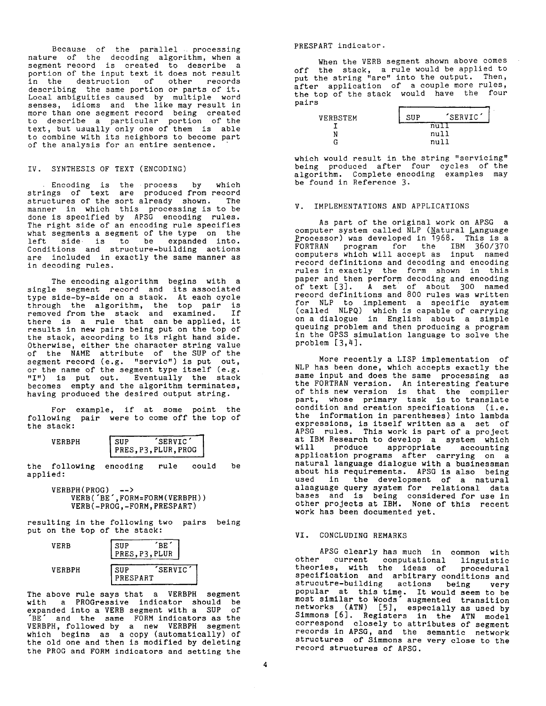Because of the parallel processing nature of the decoding algorithm, when a segment record is created to describe a portion of the input text it does not result in the destruction of other records describing the same portion or parts of it.<br>Local ambiguities caused by multiple word Local ambiguities caused by multiple word senses, idioms and the like may result in more than one segment record being created to describe a particular portion of the text, but usually only one of them is able to combine with its neighbors to become part of the analysis for an entire sentence.

## IV. SYNTHESIS OF TEXT (ENCODING)

Encoding is the process by which strings of text are produced from record structures of the sort already shown. The manner in which this processing is to be done is specified by APSG encoding rules. The right side of an encoding rule specifies what segments a segment of the type on the left side is to be expanded into. Conditions and structure-building actions are included in exactly the same manner as in decoding rules.

The encoding algorithm begins with a single segment record and its associated type side-by-side on a stack. At each cycle through the algorithm, the top pair is removed from the stack and examined. If there is a rule that can be applied, it results in new pairs being put on the top of the stack, according to its right hand side. Otherwise, either the character string value of the NAME attribute of the SUP of the segment record (e.g. "servic") is put out, or the name of the segment type itself (e.g. "I") is put out. Eventually the stack becomes empty and the algorithm terminates, having produced the desired output string.

For example, if at some point the following pair were to come off the top of the stack:

| VERBPH | . SUP | <b>SERVIC</b>        |  |
|--------|-------|----------------------|--|
|        |       | PRES, P3, PLUR, PROG |  |

the following encoding rule could be applied:

#### **VERBPH(PROG) --> VERB('BE',FORM:FORM(VERBPH)) VERB(-PROG,-FORM,PRESPART)**

resulting in the following two pairs being put on the top of the stack:

| VERB   | SUP<br>PRES, P3, PLUR | `RE.     |  |
|--------|-----------------------|----------|--|
| VERBPH | SHP<br>PRESPART       | 'SERVIC' |  |

The above rule says that a VERBPH segment with a PROGressive indicator should be expanded into a VERB segment with a SUP of  $E^{\prime}$  and the same FORM indicators as the VERBPH, followed by a new VERBPH segment which begins as a copy (automatically) of the old one and then is modified by deleting the PROG and FORM indicators and setting the

PRESPART indicator.

When the VERB segment shown above comes off the stack, a rule would be applied to put the string "are" into the output. Then, after application of a couple more rules, the top of the stack would have the four pairs

| SIIP | 'SERVIC' |              |
|------|----------|--------------|
| nu   |          |              |
|      |          |              |
|      |          |              |
|      |          | null<br>nu11 |

which would result in the string "servicing" being produced after four cycles of the algorithm. Complete encoding examples may be found in Reference 3.

## V. IMPLEMENTATIONS AND APPLICATIONS

As part of the original work on APSG a computer system called NLP ( $\frac{N}{2}$ atural Language Processor) was developed in 1968. This is a FORTRAN program for the IBM 360/370 computers which will accept as input named record definitions and decoding and encoding rules in exactly the form shown in this paper and then perform decoding and encoding of text [3]. A set of about 300 named record definitions and 800 rules was written for NLP to implement a specific system (called NLPQ) which is capable of carrying on a dialogue in English about a simple queuing problem and then producing a program in the GPSS simulation language to solve the problem [3,4].

More recently a LISP implementation of NLP has been done, which accepts exactly the same input and does the same processing as the FORTRAN version. An interesting feature of this new version is that the compiler part, whose primary task is to translate condition and creation specifications (i.e. the information in parentheses) into lambda expressions, is itself written as a set of APSG rules. This work is part of a project at IBM Research to develop a system which produce appropriate accounting application programs after carrying on a natural language dialogue with a businessman about his requirements. APSG is also being used in the development of a natural alaaguage query system for relational data bases and is being considered for use in other projects at IBM. None of this recent work has been documented yet.

### VI. CONCLUDING REMARKS

APSG clearly has much in common with other current computational linguistic theories, with the ideas of procedural specification and arbitrary conditions and strucutre-building actions being very popular at this time. It would seem to be most similar to Woods" augmented transition networks (ATN) [5], especially as used by Simmons [6]. Registers in the ATN model correspond closely to attributes of segment records in APSG, and the semantic network structures of Simmons are very close to the record structures of APSG.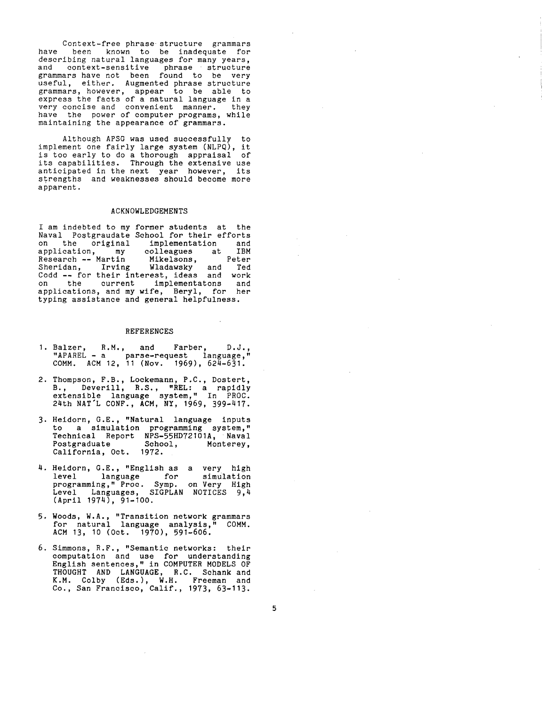Context-free phrase structure grammars have been known to be inadequate for describing natural languages for many years, and context-sensitive phrase structure grammars have not been found to be very useful, either. Augmented phrase structure grammars, however, appear to be able to express the facts of a natural language in a very concise and convenient manner, they have the power of computer programs, while maintaining the appearance of grammars.

Although APSG was used successfully to implement one fairly large system (NLPQ), it is too early to do a thorough appraisal of its capabilities. Through the extensive use anticipated in the next year however, its strengths and weaknesses should become more apparent.

### ACKNOWLEDGEMENTS

I am indebted to my former students at the Naval Postgraudate School for their efforts on the original implementation and<br>application, my colleagues at IBM application, my colleagues at IBM<br>Research --- Martin -- Mikelsons, -- Peter<br>Sheridan, Irving -- Wladawsky and Ted Research -- Martin Mikelsons, Peter<br>Sheridan, Irving Wladawsky and Ted Sheridan, Irving Wladawsky and Ted Codd -- for their interest, ideas and work on the current implementatons and applications, and my wife, Beryl, for her typing assistance and general helpfulness.

#### REFERENCES

- I. Balzer, R.M., and Farber, D.J., "APAREL **-** a parse-request language," COMM. ACM 12, 11 (Nov. 1969), 624-631.
- 2. Thompson, F.B., Lockemann, P.C., Dostert, B., Deverill, R.S., "REL: a rapidly extensible language system," In PROC. 24th NAT'L CONF., ACM, NY, 1969, 399-417.
- 3. Heidorn, G.E., "Natural language inputs to a simulation programming system," Technical Report NPS-55HD72101A, Naval<br>Postgraduate School, Monterey, Postgraduate School, Monterey, California, Oct. 1972.
- 4. Heidorn, G.E., "English as a very high level language for simulation programming," Proc. Symp. on Very High Level Languages, SIGPLAN NOTICES 9,4  $(Apr11 1974)$ , 91-100.
- 5. Woods, W.A., "Transition network grammars for natural language analysis," COMM. ACM 13, 10 (Oct. 1970), 591-606.
- 6. Simmons, R.F., "Semantic networks: their computation and use for understanding English sentences," in COMPUTER MODELS OF THOUGHT AND LANGUAGE, R.C. Schank and K.M. Colby (Eds.), W.H. Freeman and Co., San Francisco, Calif., 1973, 63-113.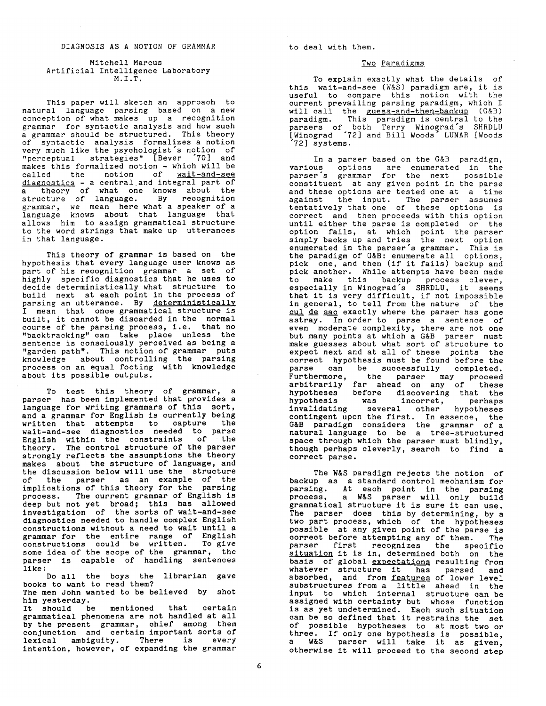Mitchell Marcus Artificial Intelligence Laboratory M.I.T.

This paper will sketch an approach to natural language parsing based on a new conception of what makes up a recognition grammar for syntactic analysis and how such a grammar should be structured. This theory of syntactic analysis formalizes a notion very much like the psychologist's notion of "perceptual strategies" [Bever "70] and makes this formalized notion - which will be called the notion of <u>wait-and-see</u> diagnostics - a central and integral part of a theory of what one knows about the structure of language. By recognition grammar, we mean here what a speaker of a language knows about that language that allows him to assign grammatical structure to the word strings that make up utterances in that language.

This theory of grammar is based on the hypothesis that every language user knows as part of his recognition grammar a set of highly specific diagnostics that he uses to decide deterministically what structure to build next at each point in the process of parsing an utterance. By deterministically I mean that once grammatical structure is built, it cannot be discarded in the normal course of the parsing process, i.e. that no "backtracking" can take place unless the sentence is consciously perceived as being a "garden path". This notion of grammar puts knowledge about controlling the parsing process on an equal footing with knowledge about its possible outputs.

To test this theory of grammar, a parser has been implemented that provides a language for writing grammars of this sort, and a grammar for English is currently being written that attempts to capture the wait-and-see diagnostics needed to parse English within the constraints of the theory. The control structure of the parser strongly reflects the assumptions the theory makes about the structure of language, and the discussion below will use the structure of the parser as an example of the implications of this theory for the parsing process. The current grammar of English is deep but not yet broad; this has allowed investigation of the sorts of wait-and-see diagnostics needed to handle complex English constructions without a need to wait until a grammar for the entire range of English constructions could be written. To give some idea of the scope of the grammar, the parser is capable of handling sentences like:

Do all the boys the librarian gave books to want to read them? The men John wanted to be believed by shot

him yesterday.

It should be mentioned that certain grammatical phenomena are not handled at all by the present grammar, chief among them conjunction and certain important sorts of lexical ambiguity. There is every intention, however, of expanding the grammar

to deal with them.

## Two Paradigms

To explain exactly what the details of this wait-and-see (W&S) paradigm are, it is useful to compare this notion with the current prevailing parsing paradigm, which I will call the guess-and-then-backup (G&B) paradigm. This paradigm is central to the parsers of both Terry' Winograd's SHRDLU [Winograd "72] and Bill Woods" LUNAR [Woods "72] systems.

In a parser based on the G&B paradigm, various options are enumerated in the parser's grammar for the next possible constituent at any given point in the parse and these options are tested one at a time against the input. The parser assumes tentatively that one of these options is correct and then proceeds with this option until either the parse is completed or the option fails, at which point the parser simply backs up and tries the next option enumerated in the parser's grammar. This is the paradigm of G&B: enumerate all options, pick one, and then (if it fails) backup and pick another. While attempts have been made to make this backup process clever, especially in Winograd's SHRDLU, it seems that it is very difficult, if not impossible in general, to tell from the nature of the cul de sac exactly where the parser has gone astray. In order to parse a sentence of even moderate complexity, there are not one but many points at which a G&B parser must make guesses about what sort of structure to expect next and at all of these points the correct hypothesis must be found before the parse can be successfully completed. Furthermore, the parser may proceed arbitrarily far ahead on any of these hypotheses before discovering that the hypothesis was incorret, perhaps invalidating several other hypotheses contingent upon the first. In essence, the G&B paradigm considers the grammar of a natural language to be a tree-structured space through which the parser must blindly, though perhaps cleverly, search to find a correct parse.

The W&S paradigm rejects the notion of backup as a standard control mechanism for parsing. At each point in the parsing process, a W&S parser will only build grammatical structure it is sure it can use. The parser does this by determining, by a two part process, which of the hypotheses possible at any given point of the parse is correct before attempting any of them. The parser first recognizes the specific situation it is in, determined both on the basis of global expectations resulting from whatever structure it has parsed and absorbed, and from <u>features</u> of lower level substructures from a little ahead in the input to which internal structure can be assigned with certainty but whose function is as yet undetermined. Each such situation can be so defined that it restrains the set of possible hypotheses to at most two or three. If only one hypothesis is possible, a W&S parser will take it as given, otherwise it will proceed to the second step